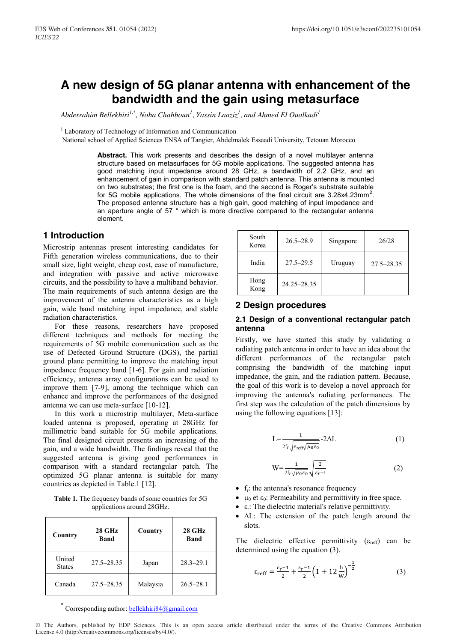# **A new design of 5G planar antenna with enhancement of the bandwidth and the gain using metasurface**

*Abderrahim Bellekhiri1,\* , Noha Chahboun<sup>1</sup> , Yassin Laaziz1 , and Ahmed El Oualkadi<sup>1</sup>*

<sup>1</sup> Laboratory of Technology of Information and Communication

National school of Applied Sciences ENSA of Tangier, Abdelmalek Essaadi University, Tetouan Morocco

**Abstract.** This work presents and describes the design of a novel multilayer antenna structure based on metasurfaces for 5G mobile applications. The suggested antenna has good matching input impedance around 28 GHz, a bandwidth of 2.2 GHz, and an enhancement of gain in comparison with standard patch antenna. This antenna is mounted on two substrates; the first one is the foam, and the second is Roger's substrate suitable for 5G mobile applications. The whole dimensions of the final circuit are 3.28x4.23mm<sup>2</sup>. The proposed antenna structure has a high gain, good matching of input impedance and an aperture angle of 57 ° which is more directive compared to the rectangular antenna element.

## **1 Introduction**

Microstrip antennas present interesting candidates for Fifth generation wireless communications, due to their small size, light weight, cheap cost, ease of manufacture, and integration with passive and active microwave circuits, and the possibility to have a multiband behavior. The main requirements of such antenna design are the improvement of the antenna characteristics as a high gain, wide band matching input impedance, and stable radiation characteristics.

 For these reasons, researchers have proposed different techniques and methods for meeting the requirements of 5G mobile communication such as the use of Defected Ground Structure (DGS), the partial ground plane permitting to improve the matching input impedance frequency band [1-6]. For gain and radiation efficiency, antenna array configurations can be used to improve them [7-9], among the technique which can enhance and improve the performances of the designed antenna we can use meta-surface [10-12].

 In this work a microstrip multilayer, Meta-surface loaded antenna is proposed, operating at 28GHz for millimetric band suitable for 5G mobile applications. The final designed circuit presents an increasing of the gain, and a wide bandwidth. The findings reveal that the suggested antenna is giving good performances in comparison with a standard rectangular patch. The optimized 5G planar antenna is suitable for many countries as depicted in Table.1 [12].

Table 1. The frequency bands of some countries for 5G applications around 28GHz.

| Country                 | $28$ GHz<br>Band | Country  | $28$ GHz<br>Band |
|-------------------------|------------------|----------|------------------|
| United<br><b>States</b> | $27.5 - 28.35$   | Japan    | $28.3 - 29.1$    |
| Canada                  | $27.5 - 28.35$   | Malaysia | $26.5 - 28.1$    |

Corresponding author: bellekhiri84@gmail.com

| South<br>Korea | $26.5 - 28.9$ | Singapore | 26/28          |
|----------------|---------------|-----------|----------------|
| India          | $27.5 - 29.5$ | Uruguay   | $27.5 - 28.35$ |
| Hong<br>Kong   | 24.25-28.35   |           |                |

## **2 Design procedures**

### **2.1 Design of a conventional rectangular patch antenna**

Firstly, we have started this study by validating a radiating patch antenna in order to have an idea about the different performances of the rectangular patch comprising the bandwidth of the matching input impedance, the gain, and the radiation pattern. Because, the goal of this work is to develop a novel approach for improving the antenna's radiating performances. The first step was the calculation of the patch dimensions by using the following equations [13]:

$$
L = \frac{1}{2f_r \sqrt{\varepsilon_{\text{reff}} \sqrt{\mu_0 \varepsilon_0}}} - 2\Delta L \tag{1}
$$

$$
W = \frac{1}{2f_r\sqrt{\mu_0\varepsilon_0}} \sqrt{\frac{2}{\varepsilon_r + 1}}
$$
 (2)

- $f_r$ : the antenna's resonance frequency
- $\mu_0$  et  $\varepsilon_0$ : Permeability and permittivity in free space.
- $\bullet$   $\varepsilon_r$ : The dielectric material's relative permittivity.
- ∆ : The extension of the patch length around the slots.

The dielectric effective permittivity  $(\varepsilon_{refr})$  can be determined using the equation (3).

$$
\varepsilon_{\text{reff}} = \frac{\varepsilon_{\text{r}} + 1}{2} + \frac{\varepsilon_{\text{r}} - 1}{2} \left( 1 + 12 \frac{\text{h}}{\text{W}} \right)^{-\frac{1}{2}} \tag{3}
$$

© The Authors, published by EDP Sciences. This is an open access article distributed under the terms of the Creative Commons Attribution License 4.0 (http://creativecommons.org/licenses/by/4.0/).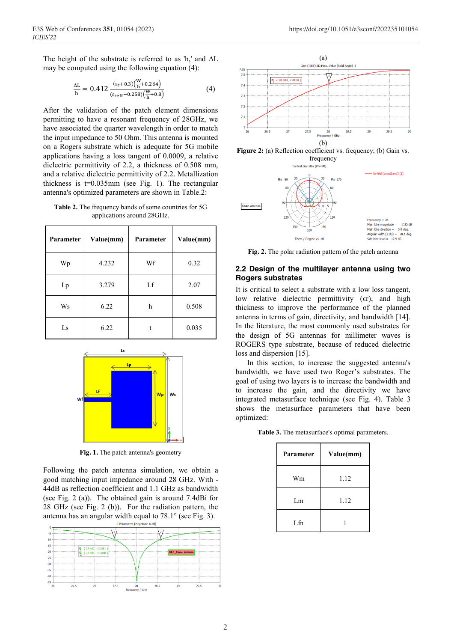The height of the substrate is referred to as 'h,' and ∆L may be computed using the following equation (4):

$$
\frac{\Delta L}{h} = 0.412 \frac{(\epsilon_r + 0.3) \left(\frac{W}{h} + 0.264\right)}{(\epsilon_{reff} - 0.258) \left(\frac{W}{h} + 0.8\right)}\tag{4}
$$

After the validation of the patch element dimensions permitting to have a resonant frequency of 28GHz, we have associated the quarter wavelength in order to match the input impedance to 50 Ohm. This antenna is mounted on a Rogers substrate which is adequate for 5G mobile applications having a loss tangent of 0.0009, a relative dielectric permittivity of 2.2, a thickness of 0.508 mm, and a relative dielectric permittivity of 2.2. Metallization thickness is t=0.035mm (see Fig. 1). The rectangular antenna's optimized parameters are shown in Table.2:

**Table 2.** The frequency bands of some countries for 5G applications around 28GHz.

| Parameter | Value(mm) | Parameter | Value(mm) |
|-----------|-----------|-----------|-----------|
| Wp        | 4.232     | Wf        | 0.32      |
| Lp        | 3.279     | Lf        | 2.07      |
| Ws        | 6.22      | h         | 0.508     |
| Ls        | 6.22      |           | 0.035     |



**Fig. 1.** The patch antenna's geometry

Following the patch antenna simulation, we obtain a good matching input impedance around 28 GHz. With - 44dB as reflection coefficient and 1.1 GHz as bandwidth (see Fig. 2 (a)). The obtained gain is around 7.4dBi for 28 GHz (see Fig. 2 (b)). For the radiation pattern, the antenna has an angular width equal to 78.1° (see Fig. 3).







**Fig. 2.** The polar radiation pattern of the patch antenna

#### **2.2 Design of the multilayer antenna using two Rogers substrates**

It is critical to select a substrate with a low loss tangent, low relative dielectric permittivity  $(\epsilon r)$ , and high thickness to improve the performance of the planned antenna in terms of gain, directivity, and bandwidth [14]. In the literature, the most commonly used substrates for the design of 5G antennas for millimeter waves is ROGERS type substrate, because of reduced dielectric loss and dispersion [15].

 In this section, to increase the suggested antenna's bandwidth, we have used two Roger's substrates. The goal of using two layers is to increase the bandwidth and to increase the gain, and the directivity we have integrated metasurface technique (see Fig. 4). Table 3 shows the metasurface parameters that have been optimized:

**Table 3.** The metasurface's optimal parameters.

| <b>Parameter</b> | Value(mm) |  |
|------------------|-----------|--|
| Wm               | 1.12      |  |
| Lm               | 1.12      |  |
| L fn             |           |  |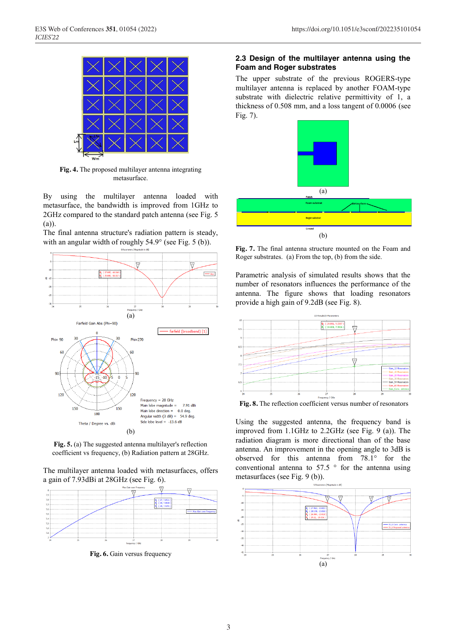

**Fig. 4.** The proposed multilayer antenna integrating metasurface.

By using the multilayer antenna loaded with metasurface, the bandwidth is improved from 1GHz to 2GHz compared to the standard patch antenna (see Fig. 5 (a)).

The final antenna structure's radiation pattern is steady, with an angular width of roughly 54.9° (see Fig. 5 (b)).



**Fig. 5.** (a) The suggested antenna multilayer's reflection coefficient vs frequency, (b) Radiation pattern at 28GHz.

The multilayer antenna loaded with metasurfaces, offers a gain of 7.93dBi at 28GHz (see Fig. 6).



**Fig. 6.** Gain versus frequency

#### **2.3 Design of the multilayer antenna using the Foam and Roger substrates**

The upper substrate of the previous ROGERS-type multilayer antenna is replaced by another FOAM-type substrate with dielectric relative permittivity of 1, a thickness of 0.508 mm, and a loss tangent of 0.0006 (see Fig. 7).



**Fig. 7.** The final antenna structure mounted on the Foam and Roger substrates. (a) From the top, (b) from the side.

Parametric analysis of simulated results shows that the number of resonators influences the performance of the antenna. The figure shows that loading resonators provide a high gain of 9.2dB (see Fig. 8).



**Fig. 8.** The reflection coefficient versus number of resonators

Using the suggested antenna, the frequency band is improved from 1.1GHz to 2.2GHz (see Fig. 9 (a)). The radiation diagram is more directional than of the base antenna. An improvement in the opening angle to 3dB is observed for this antenna from 78.1° for the conventional antenna to  $57.5$  ° for the antenna using metasurfaces (see Fig. 9 (b)).

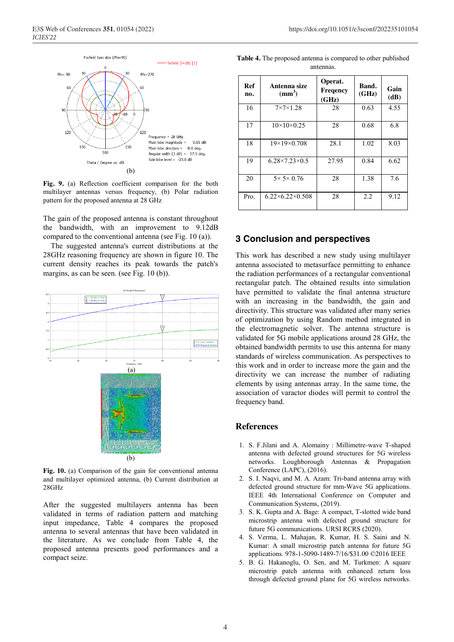

**Fig. 9.** (a) Reflection coefficient comparison for the both multilayer antennas versus frequency, (b) Polar radiation pattern for the proposed antenna at 28 GHz

The gain of the proposed antenna is constant throughout the bandwidth, with an improvement to 9.12dB compared to the conventional antenna (see Fig. 10 (a)).

 The suggested antenna's current distributions at the 28GHz reasoning frequency are shown in figure 10. The current density reaches its peak towards the patch's margins, as can be seen. (see Fig. 10 (b)).



**Fig. 10.** (a) Comparison of the gain for conventional antenna and multilayer optimized antenna, (b) Current distribution at 28GHz

After the suggested multilayers antenna has been validated in terms of radiation pattern and matching input impedance, Table 4 compares the proposed antenna to several antennas that have been validated in the literature. As we conclude from Table 4, the proposed antenna presents good performances and a compact seize.

| Table 4. The proposed antenna is compared to other published |           |  |
|--------------------------------------------------------------|-----------|--|
|                                                              | antennas. |  |

| Ref<br>no. | Antenna size<br>$\text{mm}^3$ | Operat.<br>Freqency<br>(GHz) | Band.<br>(GHz) | Gain<br>(dB) |
|------------|-------------------------------|------------------------------|----------------|--------------|
| 16         | $7\times7\times1.28$          | 28                           | 0.63           | 4.55         |
| 17         | $10\times10\times0.25$        | 28                           | 0.68           | 6.8          |
| 18         | $19\times19\times0.708$       | 28.1                         | 1.02           | 8.03         |
| 19         | $6.28 \times 7.23 \times 0.5$ | 27.95                        | 0.84           | 6.62         |
| 20         | $5 \times 5 \times 0.76$      | 28                           | 1.38           | 7.6          |
| Pro.       | $6.22\times6.22\times0.508$   | 28                           | 2.2            | 9.12         |

## **3 Conclusion and perspectives**

This work has described a new study using multilayer antenna associated to metasurface permitting to enhance the radiation performances of a rectangular conventional rectangular patch. The obtained results into simulation have permitted to validate the final antenna structure with an increasing in the bandwidth, the gain and directivity. This structure was validated after many series of optimization by using Random method integrated in the electromagnetic solver. The antenna structure is validated for 5G mobile applications around 28 GHz, the obtained bandwidth permits to use this antenna for many standards of wireless communication. As perspectives to this work and in order to increase more the gain and the directivity we can increase the number of radiating elements by using antennas array. In the same time, the association of varactor diodes will permit to control the frequency band.

#### **References**

- 1. S. F.Jilani and A. Alomainy : Millimetre-wave T-shaped antenna with defected ground structures for 5G wireless networks. Loughborough Antennas & Propagation Conference (LAPC), (2016).
- 2. S. I. Naqvi, and M. A. Azam: Tri-band antenna array with defected ground structure for mm-Wave 5G applications. IEEE 4th International Conference on Computer and Communication Systems, (2019).
- 3. S. K. Gupta and A. Bage: A compact, T-slotted wide band microstrip antenna with defected ground structure for future 5G communications. URSI RCRS (2020).
- 4. S. Verma, L. Mahajan, R. Kumar, H. S. Saini and N. Kumar: A small microstrip patch antenna for future 5G applications. 978-1-5090-1489-7/16/\$31.00 ©2016 IEEE
- 5. B. G. Hakanoglu, O. Sen, and M. Turkmen: A square microstrip patch antenna with enhanced return loss through defected ground plane for 5G wireless networks.